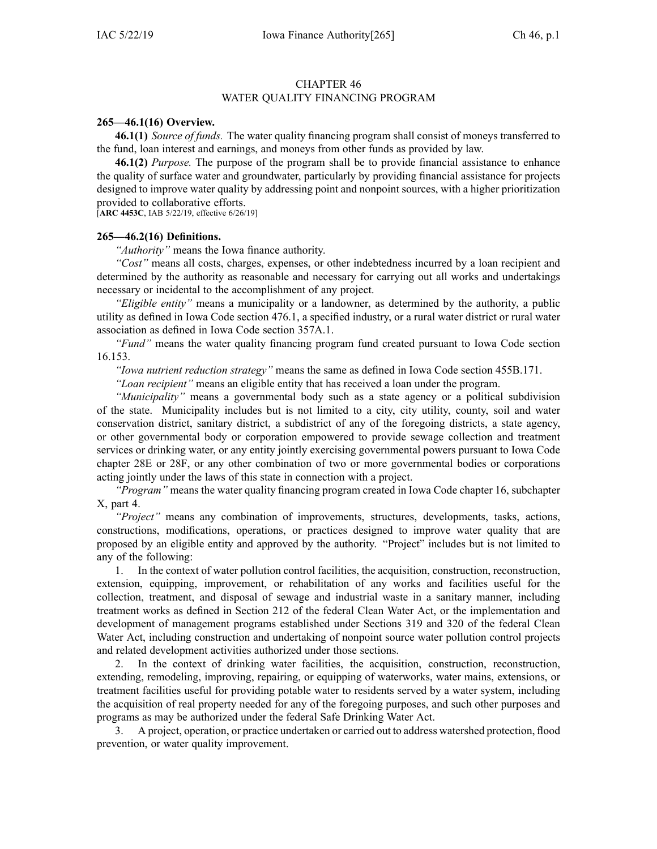#### CHAPTER 46 WATER QUALITY FINANCING PROGRAM

#### **265—46.1(16) Overview.**

**46.1(1)** *Source of funds.* The water quality financing program shall consist of moneys transferred to the fund, loan interest and earnings, and moneys from other funds as provided by law.

**46.1(2)** *Purpose.* The purpose of the program shall be to provide financial assistance to enhance the quality of surface water and groundwater, particularly by providing financial assistance for projects designed to improve water quality by addressing point and nonpoint sources, with <sup>a</sup> higher prioritization provided to collaborative efforts.

[**ARC [4453C](https://www.legis.iowa.gov/docs/aco/arc/4453C.pdf)**, IAB 5/22/19, effective 6/26/19]

### **265—46.2(16) Definitions.**

*"Authority"* means the Iowa finance authority.

*"Cost"* means all costs, charges, expenses, or other indebtedness incurred by <sup>a</sup> loan recipient and determined by the authority as reasonable and necessary for carrying out all works and undertakings necessary or incidental to the accomplishment of any project.

*"Eligible entity"* means <sup>a</sup> municipality or <sup>a</sup> landowner, as determined by the authority, <sup>a</sup> public utility as defined in Iowa Code section [476.1](https://www.legis.iowa.gov/docs/ico/section/476.1.pdf), <sup>a</sup> specified industry, or <sup>a</sup> rural water district or rural water association as defined in Iowa Code section [357A.1](https://www.legis.iowa.gov/docs/ico/section/357A.1.pdf).

*"Fund"* means the water quality financing program fund created pursuan<sup>t</sup> to Iowa Code section [16.153](https://www.legis.iowa.gov/docs/ico/section/16.153.pdf).

*"Iowa nutrient reduction strategy"* means the same as defined in Iowa Code section [455B.171](https://www.legis.iowa.gov/docs/ico/section/455B.171.pdf).

*"Loan recipient"* means an eligible entity that has received <sup>a</sup> loan under the program.

*"Municipality"* means <sup>a</sup> governmental body such as <sup>a</sup> state agency or <sup>a</sup> political subdivision of the state. Municipality includes but is not limited to <sup>a</sup> city, city utility, county, soil and water conservation district, sanitary district, <sup>a</sup> subdistrict of any of the foregoing districts, <sup>a</sup> state agency, or other governmental body or corporation empowered to provide sewage collection and treatment services or drinking water, or any entity jointly exercising governmental powers pursuan<sup>t</sup> to Iowa Code chapter [28E](https://www.legis.iowa.gov/docs/ico/chapter/28E.pdf) or [28F](https://www.legis.iowa.gov/docs/ico/chapter/28F.pdf), or any other combination of two or more governmental bodies or corporations acting jointly under the laws of this state in connection with <sup>a</sup> project.

*"Program"* means the water quality financing program created in Iowa Code chapter 16, [subchapter](https://www.legis.iowa.gov/docs/ico/chapter/16.pdf) X, [par](https://www.legis.iowa.gov/docs/ico/chapter/16.pdf)<sup>t</sup> 4.

*"Project"* means any combination of improvements, structures, developments, tasks, actions, constructions, modifications, operations, or practices designed to improve water quality that are proposed by an eligible entity and approved by the authority. "Project" includes but is not limited to any of the following:

1. In the context of water pollution control facilities, the acquisition, construction, reconstruction, extension, equipping, improvement, or rehabilitation of any works and facilities useful for the collection, treatment, and disposal of sewage and industrial waste in <sup>a</sup> sanitary manner, including treatment works as defined in Section 212 of the federal Clean Water Act, or the implementation and development of managemen<sup>t</sup> programs established under Sections 319 and 320 of the federal Clean Water Act, including construction and undertaking of nonpoint source water pollution control projects and related development activities authorized under those sections.

2. In the context of drinking water facilities, the acquisition, construction, reconstruction, extending, remodeling, improving, repairing, or equipping of waterworks, water mains, extensions, or treatment facilities useful for providing potable water to residents served by <sup>a</sup> water system, including the acquisition of real property needed for any of the foregoing purposes, and such other purposes and programs as may be authorized under the federal Safe Drinking Water Act.

3. A project, operation, or practice undertaken or carried out to address watershed protection, flood prevention, or water quality improvement.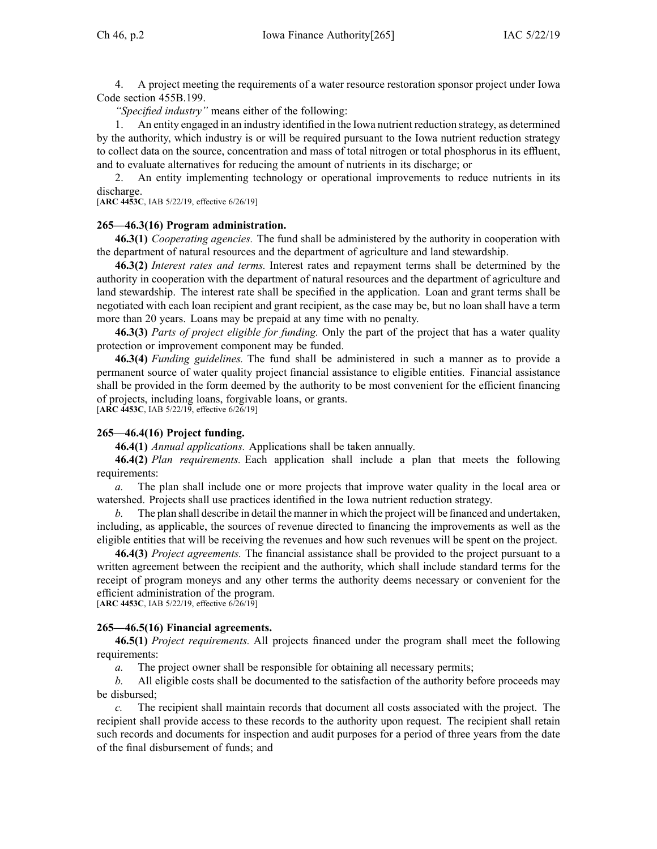4. A project meeting the requirements of <sup>a</sup> water resource restoration sponsor project under Iowa Code section [455B.199](https://www.legis.iowa.gov/docs/ico/section/455B.199.pdf).

*"Specified industry"* means either of the following:

1. An entity engaged in an industry identified in the Iowa nutrient reduction strategy, as determined by the authority, which industry is or will be required pursuan<sup>t</sup> to the Iowa nutrient reduction strategy to collect data on the source, concentration and mass of total nitrogen or total phosphorus in its effluent, and to evaluate alternatives for reducing the amount of nutrients in its discharge; or

2. An entity implementing technology or operational improvements to reduce nutrients in its discharge.

[**ARC [4453C](https://www.legis.iowa.gov/docs/aco/arc/4453C.pdf)**, IAB 5/22/19, effective 6/26/19]

#### **265—46.3(16) Program administration.**

**46.3(1)** *Cooperating agencies.* The fund shall be administered by the authority in cooperation with the department of natural resources and the department of agriculture and land stewardship.

**46.3(2)** *Interest rates and terms.* Interest rates and repaymen<sup>t</sup> terms shall be determined by the authority in cooperation with the department of natural resources and the department of agriculture and land stewardship. The interest rate shall be specified in the application. Loan and gran<sup>t</sup> terms shall be negotiated with each loan recipient and gran<sup>t</sup> recipient, as the case may be, but no loan shall have <sup>a</sup> term more than 20 years. Loans may be prepaid at any time with no penalty.

**46.3(3)** *Parts of project eligible for funding.* Only the par<sup>t</sup> of the project that has <sup>a</sup> water quality protection or improvement componen<sup>t</sup> may be funded.

**46.3(4)** *Funding guidelines.* The fund shall be administered in such <sup>a</sup> manner as to provide <sup>a</sup> permanen<sup>t</sup> source of water quality project financial assistance to eligible entities. Financial assistance shall be provided in the form deemed by the authority to be most convenient for the efficient financing of projects, including loans, forgivable loans, or grants.

[**ARC [4453C](https://www.legis.iowa.gov/docs/aco/arc/4453C.pdf)**, IAB 5/22/19, effective 6/26/19]

#### **265—46.4(16) Project funding.**

**46.4(1)** *Annual applications.* Applications shall be taken annually.

**46.4(2)** *Plan requirements.* Each application shall include <sup>a</sup> plan that meets the following requirements:

*a.* The plan shall include one or more projects that improve water quality in the local area or watershed. Projects shall use practices identified in the Iowa nutrient reduction strategy.

*b.* The plan shall describe in detail the manner in which the project will be financed and undertaken, including, as applicable, the sources of revenue directed to financing the improvements as well as the eligible entities that will be receiving the revenues and how such revenues will be spen<sup>t</sup> on the project.

**46.4(3)** *Project agreements.* The financial assistance shall be provided to the project pursuan<sup>t</sup> to <sup>a</sup> written agreemen<sup>t</sup> between the recipient and the authority, which shall include standard terms for the receipt of program moneys and any other terms the authority deems necessary or convenient for the efficient administration of the program.

[**ARC [4453C](https://www.legis.iowa.gov/docs/aco/arc/4453C.pdf)**, IAB 5/22/19, effective 6/26/19]

#### **265—46.5(16) Financial agreements.**

**46.5(1)** *Project requirements.* All projects financed under the program shall meet the following requirements:

*a.* The project owner shall be responsible for obtaining all necessary permits;

*b.* All eligible costs shall be documented to the satisfaction of the authority before proceeds may be disbursed;

*c.* The recipient shall maintain records that document all costs associated with the project. The recipient shall provide access to these records to the authority upon request. The recipient shall retain such records and documents for inspection and audit purposes for <sup>a</sup> period of three years from the date of the final disbursement of funds; and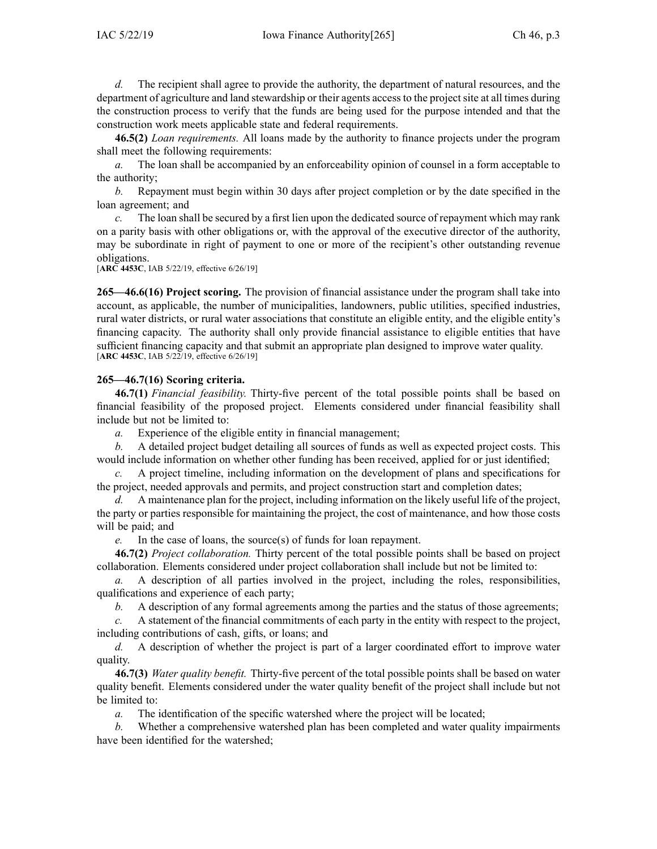*d.* The recipient shall agree to provide the authority, the department of natural resources, and the department of agriculture and land stewardship or their agents access to the project site at all times during the construction process to verify that the funds are being used for the purpose intended and that the construction work meets applicable state and federal requirements.

**46.5(2)** *Loan requirements.* All loans made by the authority to finance projects under the program shall meet the following requirements:

*a.* The loan shall be accompanied by an enforceability opinion of counsel in <sup>a</sup> form acceptable to the authority;

*b.* Repayment must begin within 30 days after project completion or by the date specified in the loan agreement; and

*c.* The loan shall be secured by <sup>a</sup> first lien upon the dedicated source of repaymen<sup>t</sup> which may rank on <sup>a</sup> parity basis with other obligations or, with the approval of the executive director of the authority, may be subordinate in right of paymen<sup>t</sup> to one or more of the recipient's other outstanding revenue obligations.

[**ARC [4453C](https://www.legis.iowa.gov/docs/aco/arc/4453C.pdf)**, IAB 5/22/19, effective 6/26/19]

**265—46.6(16) Project scoring.** The provision of financial assistance under the program shall take into account, as applicable, the number of municipalities, landowners, public utilities, specified industries, rural water districts, or rural water associations that constitute an eligible entity, and the eligible entity's financing capacity. The authority shall only provide financial assistance to eligible entities that have sufficient financing capacity and that submit an appropriate plan designed to improve water quality. [**ARC [4453C](https://www.legis.iowa.gov/docs/aco/arc/4453C.pdf)**, IAB 5/22/19, effective 6/26/19]

## **265—46.7(16) Scoring criteria.**

**46.7(1)** *Financial feasibility.* Thirty-five percen<sup>t</sup> of the total possible points shall be based on financial feasibility of the proposed project. Elements considered under financial feasibility shall include but not be limited to:

*a.* Experience of the eligible entity in financial management;

*b.* A detailed project budget detailing all sources of funds as well as expected project costs. This would include information on whether other funding has been received, applied for or just identified;

*c.* A project timeline, including information on the development of plans and specifications for the project, needed approvals and permits, and project construction start and completion dates;

*d.* A maintenance plan for the project, including information on the likely useful life of the project, the party or parties responsible for maintaining the project, the cost of maintenance, and how those costs will be paid; and

*e.* In the case of loans, the source(s) of funds for loan repayment.

**46.7(2)** *Project collaboration.* Thirty percen<sup>t</sup> of the total possible points shall be based on project collaboration. Elements considered under project collaboration shall include but not be limited to:

*a.* A description of all parties involved in the project, including the roles, responsibilities, qualifications and experience of each party;

*b.* A description of any formal agreements among the parties and the status of those agreements;

*c.* A statement of the financial commitments of each party in the entity with respec<sup>t</sup> to the project, including contributions of cash, gifts, or loans; and

*d.* A description of whether the project is par<sup>t</sup> of <sup>a</sup> larger coordinated effort to improve water quality.

**46.7(3)** *Water quality benefit.* Thirty-five percen<sup>t</sup> of the total possible points shall be based on water quality benefit. Elements considered under the water quality benefit of the project shall include but not be limited to:

*a.* The identification of the specific watershed where the project will be located;

*b.* Whether <sup>a</sup> comprehensive watershed plan has been completed and water quality impairments have been identified for the watershed;